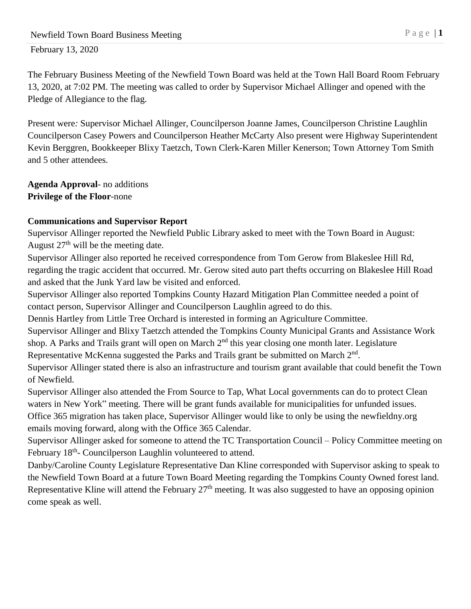The February Business Meeting of the Newfield Town Board was held at the Town Hall Board Room February 13, 2020, at 7:02 PM. The meeting was called to order by Supervisor Michael Allinger and opened with the Pledge of Allegiance to the flag.

Present were*:* Supervisor Michael Allinger, Councilperson Joanne James, Councilperson Christine Laughlin Councilperson Casey Powers and Councilperson Heather McCarty Also present were Highway Superintendent Kevin Berggren, Bookkeeper Blixy Taetzch, Town Clerk-Karen Miller Kenerson; Town Attorney Tom Smith and 5 other attendees.

**Agenda Approval***-* no additions **Privilege of the Floor***-*none

## **Communications and Supervisor Report**

Supervisor Allinger reported the Newfield Public Library asked to meet with the Town Board in August: August  $27<sup>th</sup>$  will be the meeting date.

Supervisor Allinger also reported he received correspondence from Tom Gerow from Blakeslee Hill Rd, regarding the tragic accident that occurred. Mr. Gerow sited auto part thefts occurring on Blakeslee Hill Road and asked that the Junk Yard law be visited and enforced.

Supervisor Allinger also reported Tompkins County Hazard Mitigation Plan Committee needed a point of contact person, Supervisor Allinger and Councilperson Laughlin agreed to do this.

Dennis Hartley from Little Tree Orchard is interested in forming an Agriculture Committee.

Supervisor Allinger and Blixy Taetzch attended the Tompkins County Municipal Grants and Assistance Work shop. A Parks and Trails grant will open on March 2<sup>nd</sup> this year closing one month later. Legislature Representative McKenna suggested the Parks and Trails grant be submitted on March  $2<sup>nd</sup>$ .

Supervisor Allinger stated there is also an infrastructure and tourism grant available that could benefit the Town of Newfield.

Supervisor Allinger also attended the From Source to Tap, What Local governments can do to protect Clean waters in New York" meeting. There will be grant funds available for municipalities for unfunded issues. Office 365 migration has taken place, Supervisor Allinger would like to only be using the newfieldny.org emails moving forward, along with the Office 365 Calendar.

Supervisor Allinger asked for someone to attend the TC Transportation Council – Policy Committee meeting on February 18<sup>th</sup>- Councilperson Laughlin volunteered to attend.

Danby/Caroline County Legislature Representative Dan Kline corresponded with Supervisor asking to speak to the Newfield Town Board at a future Town Board Meeting regarding the Tompkins County Owned forest land. Representative Kline will attend the February 27<sup>th</sup> meeting. It was also suggested to have an opposing opinion come speak as well.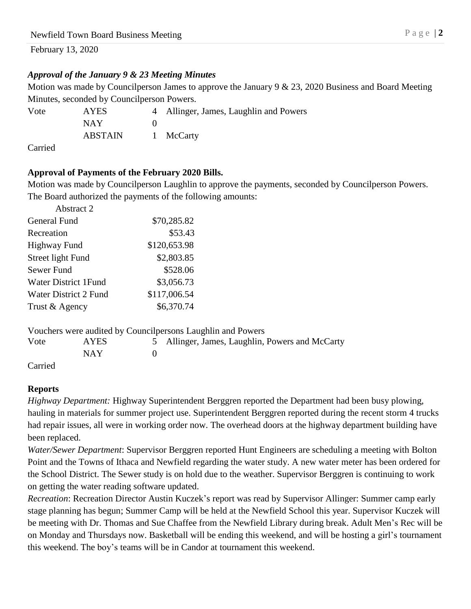## *Approval of the January 9 & 23 Meeting Minutes*

Motion was made by Councilperson James to approve the January 9 & 23, 2020 Business and Board Meeting Minutes, seconded by Councilperson Powers.

| Vote | <b>AYES</b> | 4 Allinger, James, Laughlin and Powers |
|------|-------------|----------------------------------------|
|      | NAY.        |                                        |
|      | ABSTAIN     | 1 McCarty                              |
|      |             |                                        |

Carried

## **Approval of Payments of the February 2020 Bills.**

Motion was made by Councilperson Laughlin to approve the payments, seconded by Councilperson Powers. The Board authorized the payments of the following amounts:

| Abstract 2                  |              |
|-----------------------------|--------------|
| <b>General Fund</b>         | \$70,285.82  |
| Recreation                  | \$53.43      |
| Highway Fund                | \$120,653.98 |
| Street light Fund           | \$2,803.85   |
| Sewer Fund                  | \$528.06     |
| <b>Water District 1Fund</b> | \$3,056.73   |
| Water District 2 Fund       | \$117,006.54 |
| Trust & Agency              | \$6,370.74   |
|                             |              |

|      |       | Vouchers were audited by Council persons Laughlin and Powers |
|------|-------|--------------------------------------------------------------|
| Vote | AYES. | 5 Allinger, James, Laughlin, Powers and McCarty              |
|      | NAY.  |                                                              |
|      |       |                                                              |

Carried

## **Reports**

*Highway Department:* Highway Superintendent Berggren reported the Department had been busy plowing, hauling in materials for summer project use. Superintendent Berggren reported during the recent storm 4 trucks had repair issues, all were in working order now. The overhead doors at the highway department building have been replaced.

*Water/Sewer Department*: Supervisor Berggren reported Hunt Engineers are scheduling a meeting with Bolton Point and the Towns of Ithaca and Newfield regarding the water study. A new water meter has been ordered for the School District. The Sewer study is on hold due to the weather. Supervisor Berggren is continuing to work on getting the water reading software updated.

*Recreation*: Recreation Director Austin Kuczek's report was read by Supervisor Allinger: Summer camp early stage planning has begun; Summer Camp will be held at the Newfield School this year. Supervisor Kuczek will be meeting with Dr. Thomas and Sue Chaffee from the Newfield Library during break. Adult Men's Rec will be on Monday and Thursdays now. Basketball will be ending this weekend, and will be hosting a girl's tournament this weekend. The boy's teams will be in Candor at tournament this weekend.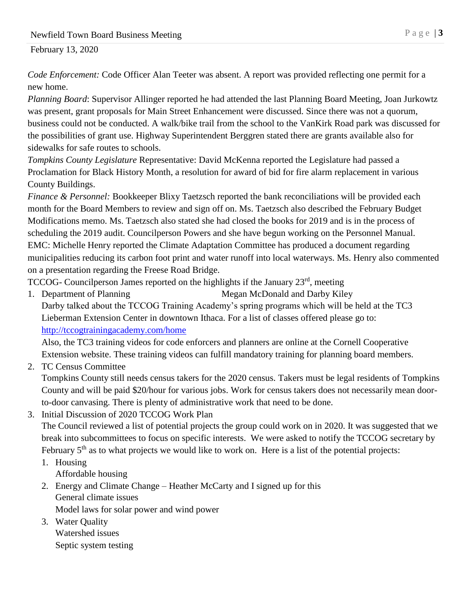*Code Enforcement:* Code Officer Alan Teeter was absent. A report was provided reflecting one permit for a new home.

*Planning Board*: Supervisor Allinger reported he had attended the last Planning Board Meeting, Joan Jurkowtz was present, grant proposals for Main Street Enhancement were discussed. Since there was not a quorum, business could not be conducted. A walk/bike trail from the school to the VanKirk Road park was discussed for the possibilities of grant use. Highway Superintendent Berggren stated there are grants available also for sidewalks for safe routes to schools.

*Tompkins County Legislature* Representative: David McKenna reported the Legislature had passed a Proclamation for Black History Month, a resolution for award of bid for fire alarm replacement in various County Buildings.

*Finance & Personnel:* Bookkeeper Blixy Taetzsch reported the bank reconciliations will be provided each month for the Board Members to review and sign off on. Ms. Taetzsch also described the February Budget Modifications memo. Ms. Taetzsch also stated she had closed the books for 2019 and is in the process of scheduling the 2019 audit. Councilperson Powers and she have begun working on the Personnel Manual. EMC: Michelle Henry reported the Climate Adaptation Committee has produced a document regarding municipalities reducing its carbon foot print and water runoff into local waterways. Ms. Henry also commented on a presentation regarding the Freese Road Bridge.

TCCOG- Councilperson James reported on the highlights if the January 23<sup>rd</sup>, meeting

1. Department of Planning Megan McDonald and Darby Kiley Darby talked about the TCCOG Training Academy's spring programs which will be held at the TC3 Lieberman Extension Center in downtown Ithaca. For a list of classes offered please go to: <http://tccogtrainingacademy.com/home>

Also, the TC3 training videos for code enforcers and planners are online at the Cornell Cooperative Extension website. These training videos can fulfill mandatory training for planning board members.

2. TC Census Committee

Tompkins County still needs census takers for the 2020 census. Takers must be legal residents of Tompkins County and will be paid \$20/hour for various jobs. Work for census takers does not necessarily mean doorto-door canvasing. There is plenty of administrative work that need to be done.

3. Initial Discussion of 2020 TCCOG Work Plan

The Council reviewed a list of potential projects the group could work on in 2020. It was suggested that we break into subcommittees to focus on specific interests. We were asked to notify the TCCOG secretary by February 5<sup>th</sup> as to what projects we would like to work on. Here is a list of the potential projects:

- 1. Housing Affordable housing
- 2. Energy and Climate Change Heather McCarty and I signed up for this General climate issues

Model laws for solar power and wind power

3. Water Quality Watershed issues Septic system testing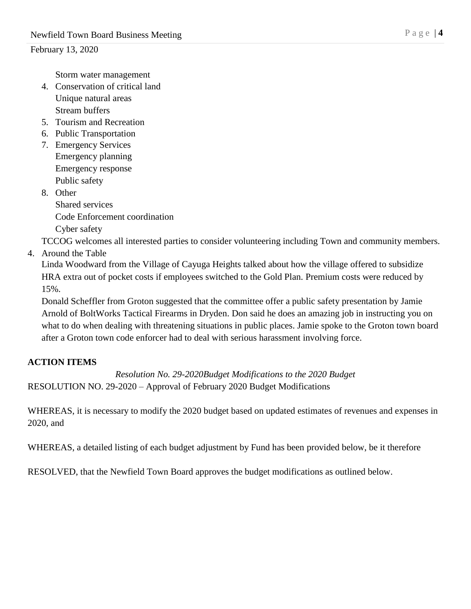Storm water management

- 4. Conservation of critical land Unique natural areas Stream buffers
- 5. Tourism and Recreation
- 6. Public Transportation
- 7. Emergency Services Emergency planning Emergency response Public safety
- 8. Other Shared services Code Enforcement coordination Cyber safety

TCCOG welcomes all interested parties to consider volunteering including Town and community members.

4. Around the Table

Linda Woodward from the Village of Cayuga Heights talked about how the village offered to subsidize HRA extra out of pocket costs if employees switched to the Gold Plan. Premium costs were reduced by 15%.

Donald Scheffler from Groton suggested that the committee offer a public safety presentation by Jamie Arnold of BoltWorks Tactical Firearms in Dryden. Don said he does an amazing job in instructing you on what to do when dealing with threatening situations in public places. Jamie spoke to the Groton town board after a Groton town code enforcer had to deal with serious harassment involving force.

## **ACTION ITEMS**

*Resolution No. 29-2020Budget Modifications to the 2020 Budget* RESOLUTION NO. 29-2020 – Approval of February 2020 Budget Modifications

WHEREAS, it is necessary to modify the 2020 budget based on updated estimates of revenues and expenses in 2020, and

WHEREAS, a detailed listing of each budget adjustment by Fund has been provided below, be it therefore

RESOLVED, that the Newfield Town Board approves the budget modifications as outlined below.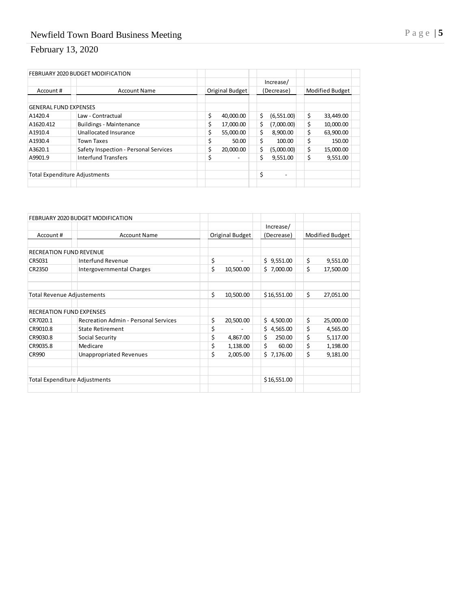|                              | FEBRUARY 2020 BUDGET MODIFICATION     |                 |                  |                 |
|------------------------------|---------------------------------------|-----------------|------------------|-----------------|
|                              |                                       |                 | Increase/        |                 |
| Account#                     | <b>Account Name</b>                   | Original Budget | (Decrease)       | Modified Budget |
| <b>GENERAL FUND EXPENSES</b> |                                       |                 |                  |                 |
| A1420.4                      | Law - Contractual                     | \$<br>40,000.00 | \$<br>(6,551.00) | \$<br>33,449.00 |
| A1620.412                    | <b>Buildings - Maintenance</b>        | \$<br>17,000.00 | \$<br>(7,000.00) | \$<br>10,000.00 |
| A1910.4                      | Unallocated Insurance                 | \$<br>55,000.00 | \$<br>8,900.00   | \$<br>63,900.00 |
| A1930.4                      | <b>Town Taxes</b>                     | \$<br>50.00     | \$<br>100.00     | \$<br>150.00    |
| A3620.1                      | Safety Inspection - Personal Services | \$<br>20,000.00 | \$<br>(5,000.00) | \$<br>15,000.00 |
| A9901.9                      | <b>Interfund Transfers</b>            | \$              | \$<br>9.551.00   | \$<br>9,551.00  |
|                              | <b>Total Expenditure Adjustments</b>  |                 | \$               |                 |

|                                   | FEBRUARY 2020 BUDGET MODIFICATION           |                 |                |                 |           |
|-----------------------------------|---------------------------------------------|-----------------|----------------|-----------------|-----------|
|                                   |                                             |                 | Increase/      |                 |           |
| Account #                         | <b>Account Name</b>                         | Original Budget | (Decrease)     | Modified Budget |           |
|                                   |                                             |                 |                |                 |           |
| <b>RECREATION FUND REVENUE</b>    |                                             |                 |                |                 |           |
| CR5031                            | <b>Interfund Revenue</b>                    | \$              | Ś.<br>9,551.00 | \$              | 9,551.00  |
| CR2350                            | Intergovernmental Charges                   | \$<br>10,500.00 | \$7,000.00     | \$              | 17,500.00 |
|                                   |                                             |                 |                |                 |           |
| <b>Total Revenue Adjustements</b> |                                             | \$<br>10,500.00 | \$16,551.00    | \$              | 27,051.00 |
| <b>RECREATION FUND EXPENSES</b>   |                                             |                 |                |                 |           |
| CR7020.1                          | <b>Recreation Admin - Personal Services</b> | \$<br>20,500.00 | Ś.<br>4,500.00 | \$              | 25,000.00 |
| CR9010.8                          | <b>State Retirement</b>                     | \$              | \$4,565.00     | \$              | 4,565.00  |
| CR9030.8                          | Social Security                             | \$<br>4,867.00  | \$<br>250.00   | \$              | 5,117.00  |
| CR9035.8                          | Medicare                                    | \$<br>1,138.00  | \$<br>60.00    | \$              | 1,198.00  |
| <b>CR990</b>                      | <b>Unappropriated Revenues</b>              | \$<br>2,005.00  | \$7,176.00     | \$              | 9,181.00  |
|                                   |                                             |                 |                |                 |           |
|                                   | <b>Total Expenditure Adjustments</b>        |                 | \$16,551.00    |                 |           |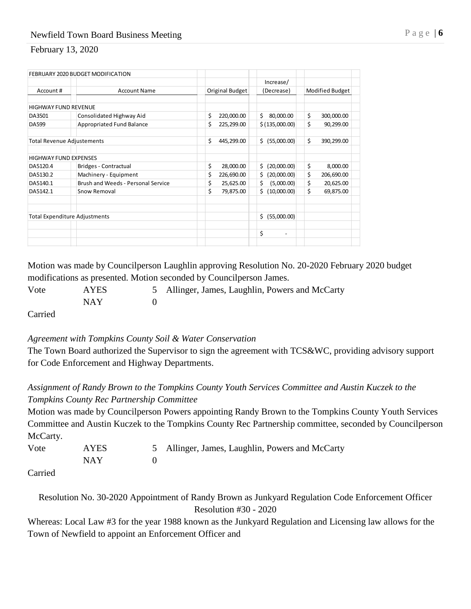|                                   | FEBRUARY 2020 BUDGET MODIFICATION    |                  |                                |                  |
|-----------------------------------|--------------------------------------|------------------|--------------------------------|------------------|
|                                   |                                      |                  | Increase/                      |                  |
| Account#                          | <b>Account Name</b>                  | Original Budget  | (Decrease)                     | Modified Budget  |
|                                   |                                      |                  |                                |                  |
| <b>HIGHWAY FUND REVENUE</b>       |                                      |                  |                                |                  |
| DA3501                            | Consolidated Highway Aid             | \$<br>220,000.00 | \$<br>80,000.00                | \$<br>300,000.00 |
| DA599                             | Appropriated Fund Balance            | \$<br>225,299.00 | \$ (135,000.00)                | \$<br>90,299.00  |
| <b>Total Revenue Adjustements</b> |                                      | Ś<br>445,299.00  | \$ (55,000.00)                 | \$<br>390,299.00 |
| <b>HIGHWAY FUND EXPENSES</b>      |                                      |                  |                                |                  |
| DA5120.4                          | Bridges - Contractual                | \$<br>28,000.00  | Ś.<br>(20,000.00)              | \$<br>8,000.00   |
| DA5130.2                          | Machinery - Equipment                | \$<br>226,690.00 | Ś.<br>(20,000.00)              | \$<br>206,690.00 |
| DA5140.1                          | Brush and Weeds - Personal Service   | \$<br>25,625.00  | \$<br>(5,000.00)               | \$<br>20,625.00  |
| DA5142.1                          | Snow Removal                         | \$<br>79,875.00  | (10,000.00)<br>Ś.              | \$<br>69,875.00  |
|                                   |                                      |                  |                                |                  |
|                                   | <b>Total Expenditure Adjustments</b> |                  | (55,000.00)<br>Ś.              |                  |
|                                   |                                      |                  | \$<br>$\overline{\phantom{a}}$ |                  |
|                                   |                                      |                  |                                |                  |

Motion was made by Councilperson Laughlin approving Resolution No. 20-2020 February 2020 budget modifications as presented. Motion seconded by Councilperson James.

Vote AYES 5 Allinger, James, Laughlin, Powers and McCarty NAY 0

Carried

#### *Agreement with Tompkins County Soil & Water Conservation*

The Town Board authorized the Supervisor to sign the agreement with TCS&WC, providing advisory support for Code Enforcement and Highway Departments.

## *Assignment of Randy Brown to the Tompkins County Youth Services Committee and Austin Kuczek to the Tompkins County Rec Partnership Committee*

Motion was made by Councilperson Powers appointing Randy Brown to the Tompkins County Youth Services Committee and Austin Kuczek to the Tompkins County Rec Partnership committee, seconded by Councilperson McCarty.

| Vote | AYES | 5 Allinger, James, Laughlin, Powers and McCarty |
|------|------|-------------------------------------------------|
|      | NAY  |                                                 |
|      |      |                                                 |

Carried

Resolution No. 30-2020 Appointment of Randy Brown as Junkyard Regulation Code Enforcement Officer Resolution #30 - 2020

Whereas: Local Law #3 for the year 1988 known as the Junkyard Regulation and Licensing law allows for the Town of Newfield to appoint an Enforcement Officer and